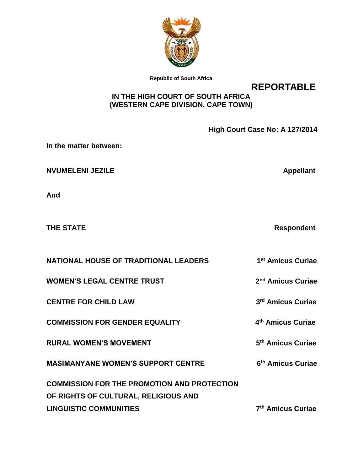

**Republic of South Africa**

**REPORTABLE**

# **IN THE HIGH COURT OF SOUTH AFRICA (WESTERN CAPE DIVISION, CAPE TOWN)**

|                                                                                            | High Court Case No: A 127/2014 |
|--------------------------------------------------------------------------------------------|--------------------------------|
| In the matter between:                                                                     |                                |
| <b>NVUMELENI JEZILE</b>                                                                    | <b>Appellant</b>               |
| And                                                                                        |                                |
| <b>THE STATE</b>                                                                           | <b>Respondent</b>              |
| <b>NATIONAL HOUSE OF TRADITIONAL LEADERS</b>                                               | 1 <sup>st</sup> Amicus Curiae  |
| <b>WOMEN'S LEGAL CENTRE TRUST</b>                                                          | 2 <sup>nd</sup> Amicus Curiae  |
| <b>CENTRE FOR CHILD LAW</b>                                                                | 3 <sup>rd</sup> Amicus Curiae  |
| <b>COMMISSION FOR GENDER EQUALITY</b>                                                      | 4 <sup>th</sup> Amicus Curiae  |
| <b>RURAL WOMEN'S MOVEMENT</b>                                                              | 5 <sup>th</sup> Amicus Curiae  |
| <b>MASIMANYANE WOMEN'S SUPPORT CENTRE</b>                                                  | 6 <sup>th</sup> Amicus Curiae  |
| <b>COMMISSION FOR THE PROMOTION AND PROTECTION</b><br>OF RIGHTS OF CULTURAL, RELIGIOUS AND |                                |
| <b>LINGUISTIC COMMUNITIES</b>                                                              | 7 <sup>th</sup> Amicus Curiae  |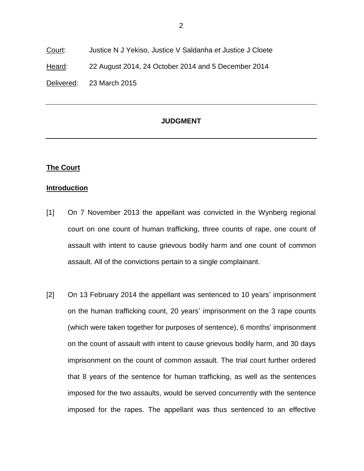Court: Justice N J Yekiso, Justice V Saldanha *et* Justice J Cloete Heard: 22 August 2014, 24 October 2014 and 5 December 2014 Delivered: 23 March 2015

# **JUDGMENT**

## **The Court**

#### **Introduction**

- [1] On 7 November 2013 the appellant was convicted in the Wynberg regional court on one count of human trafficking, three counts of rape, one count of assault with intent to cause grievous bodily harm and one count of common assault. All of the convictions pertain to a single complainant.
- [2] On 13 February 2014 the appellant was sentenced to 10 years' imprisonment on the human trafficking count, 20 years' imprisonment on the 3 rape counts (which were taken together for purposes of sentence), 6 months' imprisonment on the count of assault with intent to cause grievous bodily harm, and 30 days imprisonment on the count of common assault. The trial court further ordered that 8 years of the sentence for human trafficking, as well as the sentences imposed for the two assaults, would be served concurrently with the sentence imposed for the rapes. The appellant was thus sentenced to an effective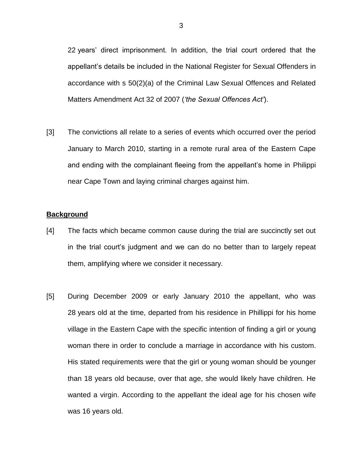22 years' direct imprisonment. In addition, the trial court ordered that the appellant's details be included in the National Register for Sexual Offenders in accordance with s 50(2)(a) of the Criminal Law Sexual Offences and Related Matters Amendment Act 32 of 2007 (*'the Sexual Offences Act'*).

[3] The convictions all relate to a series of events which occurred over the period January to March 2010, starting in a remote rural area of the Eastern Cape and ending with the complainant fleeing from the appellant's home in Philippi near Cape Town and laying criminal charges against him.

#### **Background**

- [4] The facts which became common cause during the trial are succinctly set out in the trial court's judgment and we can do no better than to largely repeat them, amplifying where we consider it necessary.
- [5] During December 2009 or early January 2010 the appellant, who was 28 years old at the time, departed from his residence in Phillippi for his home village in the Eastern Cape with the specific intention of finding a girl or young woman there in order to conclude a marriage in accordance with his custom. His stated requirements were that the girl or young woman should be younger than 18 years old because, over that age, she would likely have children. He wanted a virgin. According to the appellant the ideal age for his chosen wife was 16 years old.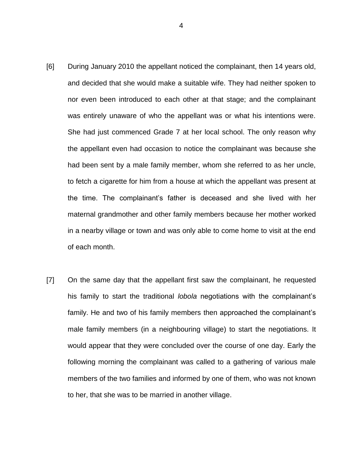- [6] During January 2010 the appellant noticed the complainant, then 14 years old, and decided that she would make a suitable wife. They had neither spoken to nor even been introduced to each other at that stage; and the complainant was entirely unaware of who the appellant was or what his intentions were. She had just commenced Grade 7 at her local school. The only reason why the appellant even had occasion to notice the complainant was because she had been sent by a male family member, whom she referred to as her uncle, to fetch a cigarette for him from a house at which the appellant was present at the time. The complainant's father is deceased and she lived with her maternal grandmother and other family members because her mother worked in a nearby village or town and was only able to come home to visit at the end of each month.
- [7] On the same day that the appellant first saw the complainant, he requested his family to start the traditional *lobola* negotiations with the complainant's family. He and two of his family members then approached the complainant's male family members (in a neighbouring village) to start the negotiations. It would appear that they were concluded over the course of one day. Early the following morning the complainant was called to a gathering of various male members of the two families and informed by one of them, who was not known to her, that she was to be married in another village.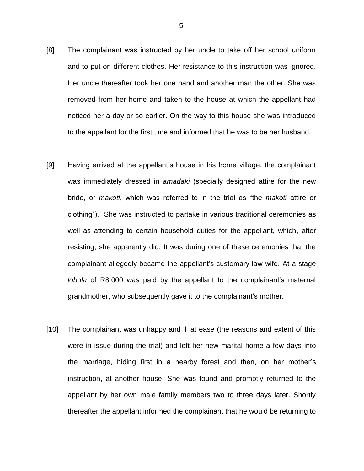- [8] The complainant was instructed by her uncle to take off her school uniform and to put on different clothes. Her resistance to this instruction was ignored. Her uncle thereafter took her one hand and another man the other. She was removed from her home and taken to the house at which the appellant had noticed her a day or so earlier. On the way to this house she was introduced to the appellant for the first time and informed that he was to be her husband.
- [9] Having arrived at the appellant's house in his home village, the complainant was immediately dressed in *amadaki* (specially designed attire for the new bride, or *makoti*, which was referred to in the trial as "the *makoti* attire or clothing"). She was instructed to partake in various traditional ceremonies as well as attending to certain household duties for the appellant, which, after resisting, she apparently did. It was during one of these ceremonies that the complainant allegedly became the appellant's customary law wife. At a stage *lobola* of R8 000 was paid by the appellant to the complainant's maternal grandmother, who subsequently gave it to the complainant's mother.
- [10] The complainant was unhappy and ill at ease (the reasons and extent of this were in issue during the trial) and left her new marital home a few days into the marriage, hiding first in a nearby forest and then, on her mother's instruction, at another house. She was found and promptly returned to the appellant by her own male family members two to three days later. Shortly thereafter the appellant informed the complainant that he would be returning to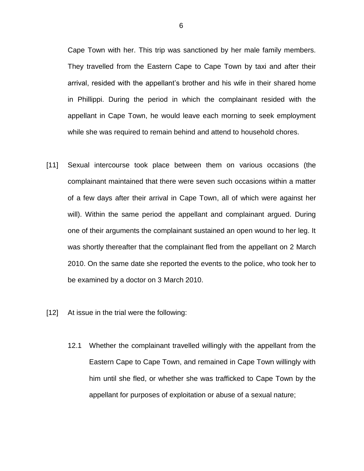Cape Town with her. This trip was sanctioned by her male family members. They travelled from the Eastern Cape to Cape Town by taxi and after their arrival, resided with the appellant's brother and his wife in their shared home in Phillippi. During the period in which the complainant resided with the appellant in Cape Town, he would leave each morning to seek employment while she was required to remain behind and attend to household chores.

- [11] Sexual intercourse took place between them on various occasions (the complainant maintained that there were seven such occasions within a matter of a few days after their arrival in Cape Town, all of which were against her will). Within the same period the appellant and complainant argued. During one of their arguments the complainant sustained an open wound to her leg. It was shortly thereafter that the complainant fled from the appellant on 2 March 2010. On the same date she reported the events to the police, who took her to be examined by a doctor on 3 March 2010.
- [12] At issue in the trial were the following:
	- 12.1 Whether the complainant travelled willingly with the appellant from the Eastern Cape to Cape Town, and remained in Cape Town willingly with him until she fled, or whether she was trafficked to Cape Town by the appellant for purposes of exploitation or abuse of a sexual nature;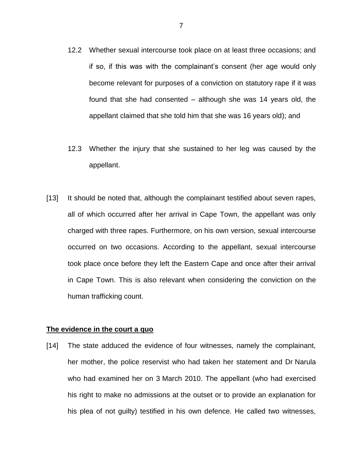- 12.2 Whether sexual intercourse took place on at least three occasions; and if so, if this was with the complainant's consent (her age would only become relevant for purposes of a conviction on statutory rape if it was found that she had consented – although she was 14 years old, the appellant claimed that she told him that she was 16 years old); and
- 12.3 Whether the injury that she sustained to her leg was caused by the appellant.
- [13] It should be noted that, although the complainant testified about seven rapes, all of which occurred after her arrival in Cape Town, the appellant was only charged with three rapes. Furthermore, on his own version, sexual intercourse occurred on two occasions. According to the appellant, sexual intercourse took place once before they left the Eastern Cape and once after their arrival in Cape Town. This is also relevant when considering the conviction on the human trafficking count.

#### **The evidence in the court a quo**

[14] The state adduced the evidence of four witnesses, namely the complainant, her mother, the police reservist who had taken her statement and Dr Narula who had examined her on 3 March 2010. The appellant (who had exercised his right to make no admissions at the outset or to provide an explanation for his plea of not guilty) testified in his own defence. He called two witnesses,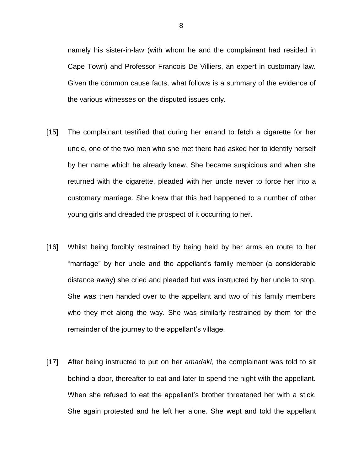namely his sister-in-law (with whom he and the complainant had resided in Cape Town) and Professor Francois De Villiers, an expert in customary law. Given the common cause facts, what follows is a summary of the evidence of the various witnesses on the disputed issues only.

- [15] The complainant testified that during her errand to fetch a cigarette for her uncle, one of the two men who she met there had asked her to identify herself by her name which he already knew. She became suspicious and when she returned with the cigarette, pleaded with her uncle never to force her into a customary marriage. She knew that this had happened to a number of other young girls and dreaded the prospect of it occurring to her.
- [16] Whilst being forcibly restrained by being held by her arms en route to her "marriage" by her uncle and the appellant's family member (a considerable distance away) she cried and pleaded but was instructed by her uncle to stop. She was then handed over to the appellant and two of his family members who they met along the way. She was similarly restrained by them for the remainder of the journey to the appellant's village.
- [17] After being instructed to put on her *amadaki*, the complainant was told to sit behind a door, thereafter to eat and later to spend the night with the appellant. When she refused to eat the appellant's brother threatened her with a stick. She again protested and he left her alone. She wept and told the appellant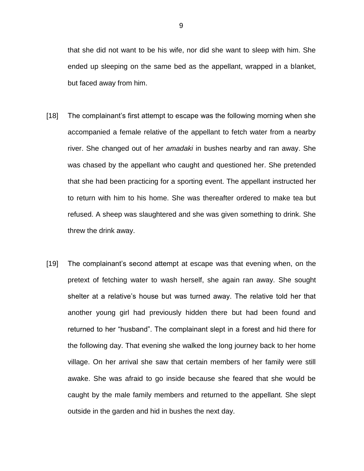that she did not want to be his wife, nor did she want to sleep with him. She ended up sleeping on the same bed as the appellant, wrapped in a blanket, but faced away from him.

- [18] The complainant's first attempt to escape was the following morning when she accompanied a female relative of the appellant to fetch water from a nearby river. She changed out of her *amadaki* in bushes nearby and ran away. She was chased by the appellant who caught and questioned her. She pretended that she had been practicing for a sporting event. The appellant instructed her to return with him to his home. She was thereafter ordered to make tea but refused. A sheep was slaughtered and she was given something to drink. She threw the drink away.
- [19] The complainant's second attempt at escape was that evening when, on the pretext of fetching water to wash herself, she again ran away. She sought shelter at a relative's house but was turned away. The relative told her that another young girl had previously hidden there but had been found and returned to her "husband". The complainant slept in a forest and hid there for the following day. That evening she walked the long journey back to her home village. On her arrival she saw that certain members of her family were still awake. She was afraid to go inside because she feared that she would be caught by the male family members and returned to the appellant. She slept outside in the garden and hid in bushes the next day.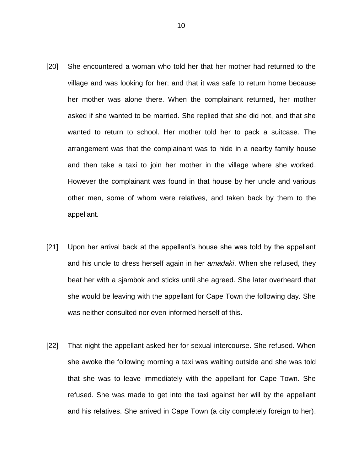- [20] She encountered a woman who told her that her mother had returned to the village and was looking for her; and that it was safe to return home because her mother was alone there. When the complainant returned, her mother asked if she wanted to be married. She replied that she did not, and that she wanted to return to school. Her mother told her to pack a suitcase. The arrangement was that the complainant was to hide in a nearby family house and then take a taxi to join her mother in the village where she worked. However the complainant was found in that house by her uncle and various other men, some of whom were relatives, and taken back by them to the appellant.
- [21] Upon her arrival back at the appellant's house she was told by the appellant and his uncle to dress herself again in her *amadaki*. When she refused, they beat her with a sjambok and sticks until she agreed. She later overheard that she would be leaving with the appellant for Cape Town the following day. She was neither consulted nor even informed herself of this.
- [22] That night the appellant asked her for sexual intercourse. She refused. When she awoke the following morning a taxi was waiting outside and she was told that she was to leave immediately with the appellant for Cape Town. She refused. She was made to get into the taxi against her will by the appellant and his relatives. She arrived in Cape Town (a city completely foreign to her).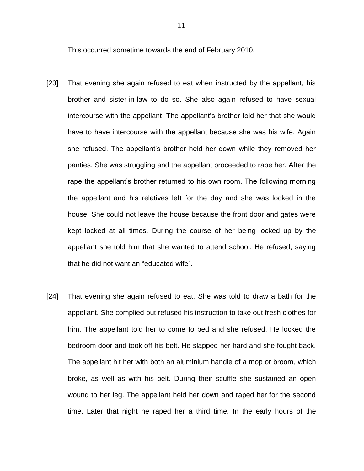This occurred sometime towards the end of February 2010.

- [23] That evening she again refused to eat when instructed by the appellant, his brother and sister-in-law to do so. She also again refused to have sexual intercourse with the appellant. The appellant's brother told her that she would have to have intercourse with the appellant because she was his wife. Again she refused. The appellant's brother held her down while they removed her panties. She was struggling and the appellant proceeded to rape her. After the rape the appellant's brother returned to his own room. The following morning the appellant and his relatives left for the day and she was locked in the house. She could not leave the house because the front door and gates were kept locked at all times. During the course of her being locked up by the appellant she told him that she wanted to attend school. He refused, saying that he did not want an "educated wife".
- [24] That evening she again refused to eat. She was told to draw a bath for the appellant. She complied but refused his instruction to take out fresh clothes for him. The appellant told her to come to bed and she refused. He locked the bedroom door and took off his belt. He slapped her hard and she fought back. The appellant hit her with both an aluminium handle of a mop or broom, which broke, as well as with his belt. During their scuffle she sustained an open wound to her leg. The appellant held her down and raped her for the second time. Later that night he raped her a third time. In the early hours of the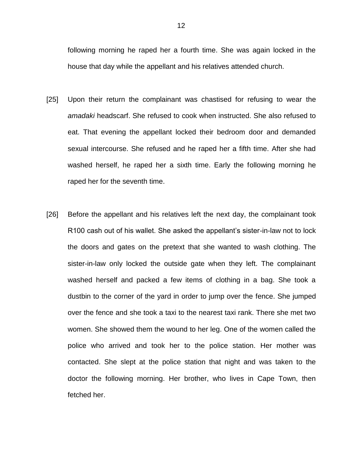following morning he raped her a fourth time. She was again locked in the house that day while the appellant and his relatives attended church.

- [25] Upon their return the complainant was chastised for refusing to wear the *amadaki* headscarf. She refused to cook when instructed. She also refused to eat. That evening the appellant locked their bedroom door and demanded sexual intercourse. She refused and he raped her a fifth time. After she had washed herself, he raped her a sixth time. Early the following morning he raped her for the seventh time.
- [26] Before the appellant and his relatives left the next day, the complainant took R100 cash out of his wallet. She asked the appellant's sister-in-law not to lock the doors and gates on the pretext that she wanted to wash clothing. The sister-in-law only locked the outside gate when they left. The complainant washed herself and packed a few items of clothing in a bag. She took a dustbin to the corner of the yard in order to jump over the fence. She jumped over the fence and she took a taxi to the nearest taxi rank. There she met two women. She showed them the wound to her leg. One of the women called the police who arrived and took her to the police station. Her mother was contacted. She slept at the police station that night and was taken to the doctor the following morning. Her brother, who lives in Cape Town, then fetched her.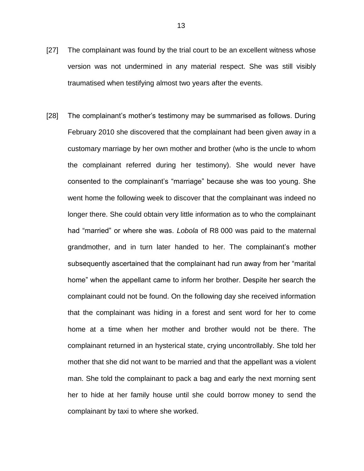- [27] The complainant was found by the trial court to be an excellent witness whose version was not undermined in any material respect. She was still visibly traumatised when testifying almost two years after the events.
- [28] The complainant's mother's testimony may be summarised as follows. During February 2010 she discovered that the complainant had been given away in a customary marriage by her own mother and brother (who is the uncle to whom the complainant referred during her testimony). She would never have consented to the complainant's "marriage" because she was too young. She went home the following week to discover that the complainant was indeed no longer there. She could obtain very little information as to who the complainant had "married" or where she was. *Lobola* of R8 000 was paid to the maternal grandmother, and in turn later handed to her. The complainant's mother subsequently ascertained that the complainant had run away from her "marital home" when the appellant came to inform her brother. Despite her search the complainant could not be found. On the following day she received information that the complainant was hiding in a forest and sent word for her to come home at a time when her mother and brother would not be there. The complainant returned in an hysterical state, crying uncontrollably. She told her mother that she did not want to be married and that the appellant was a violent man. She told the complainant to pack a bag and early the next morning sent her to hide at her family house until she could borrow money to send the complainant by taxi to where she worked.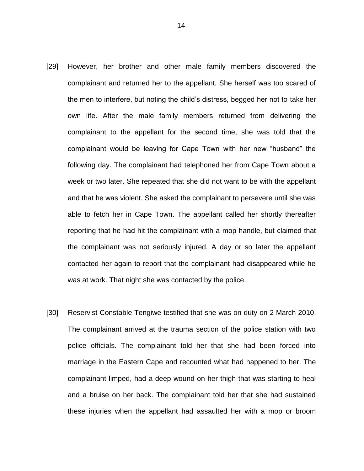- [29] However, her brother and other male family members discovered the complainant and returned her to the appellant. She herself was too scared of the men to interfere, but noting the child's distress, begged her not to take her own life. After the male family members returned from delivering the complainant to the appellant for the second time, she was told that the complainant would be leaving for Cape Town with her new "husband" the following day. The complainant had telephoned her from Cape Town about a week or two later. She repeated that she did not want to be with the appellant and that he was violent. She asked the complainant to persevere until she was able to fetch her in Cape Town. The appellant called her shortly thereafter reporting that he had hit the complainant with a mop handle, but claimed that the complainant was not seriously injured. A day or so later the appellant contacted her again to report that the complainant had disappeared while he was at work. That night she was contacted by the police.
- [30] Reservist Constable Tengiwe testified that she was on duty on 2 March 2010. The complainant arrived at the trauma section of the police station with two police officials. The complainant told her that she had been forced into marriage in the Eastern Cape and recounted what had happened to her. The complainant limped, had a deep wound on her thigh that was starting to heal and a bruise on her back. The complainant told her that she had sustained these injuries when the appellant had assaulted her with a mop or broom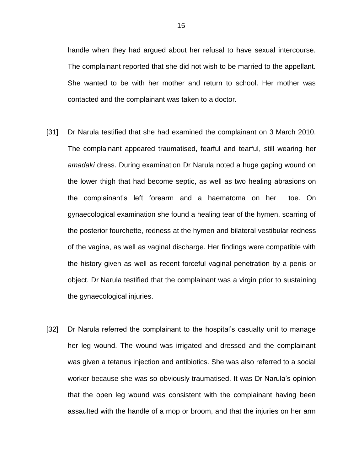handle when they had argued about her refusal to have sexual intercourse. The complainant reported that she did not wish to be married to the appellant. She wanted to be with her mother and return to school. Her mother was contacted and the complainant was taken to a doctor.

- [31] Dr Narula testified that she had examined the complainant on 3 March 2010. The complainant appeared traumatised, fearful and tearful, still wearing her *amadaki* dress. During examination Dr Narula noted a huge gaping wound on the lower thigh that had become septic, as well as two healing abrasions on the complainant's left forearm and a haematoma on her toe. On gynaecological examination she found a healing tear of the hymen, scarring of the posterior fourchette, redness at the hymen and bilateral vestibular redness of the vagina, as well as vaginal discharge. Her findings were compatible with the history given as well as recent forceful vaginal penetration by a penis or object. Dr Narula testified that the complainant was a virgin prior to sustaining the gynaecological injuries.
- [32] Dr Narula referred the complainant to the hospital's casualty unit to manage her leg wound. The wound was irrigated and dressed and the complainant was given a tetanus injection and antibiotics. She was also referred to a social worker because she was so obviously traumatised. It was Dr Narula's opinion that the open leg wound was consistent with the complainant having been assaulted with the handle of a mop or broom, and that the injuries on her arm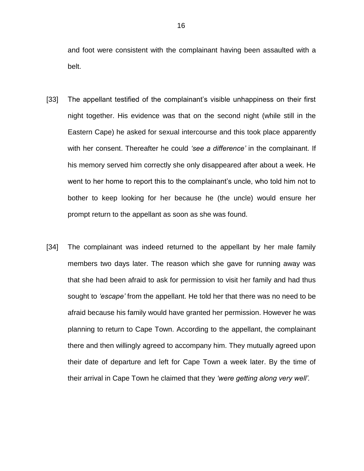and foot were consistent with the complainant having been assaulted with a belt.

- [33] The appellant testified of the complainant's visible unhappiness on their first night together. His evidence was that on the second night (while still in the Eastern Cape) he asked for sexual intercourse and this took place apparently with her consent. Thereafter he could *'see a difference'* in the complainant. If his memory served him correctly she only disappeared after about a week. He went to her home to report this to the complainant's uncle, who told him not to bother to keep looking for her because he (the uncle) would ensure her prompt return to the appellant as soon as she was found.
- [34] The complainant was indeed returned to the appellant by her male family members two days later. The reason which she gave for running away was that she had been afraid to ask for permission to visit her family and had thus sought to *'escape'* from the appellant. He told her that there was no need to be afraid because his family would have granted her permission. However he was planning to return to Cape Town. According to the appellant, the complainant there and then willingly agreed to accompany him. They mutually agreed upon their date of departure and left for Cape Town a week later. By the time of their arrival in Cape Town he claimed that they *'were getting along very well'.*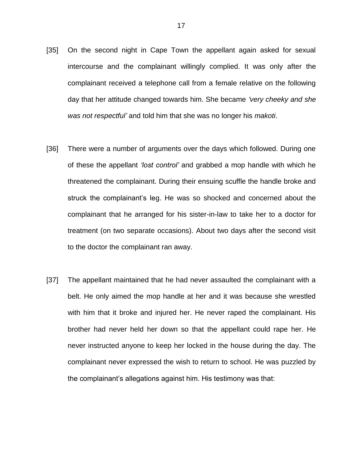- [35] On the second night in Cape Town the appellant again asked for sexual intercourse and the complainant willingly complied. It was only after the complainant received a telephone call from a female relative on the following day that her attitude changed towards him. She became *'very cheeky and she was not respectful'* and told him that she was no longer his *makoti*.
- [36] There were a number of arguments over the days which followed. During one of these the appellant *'lost control'* and grabbed a mop handle with which he threatened the complainant. During their ensuing scuffle the handle broke and struck the complainant's leg. He was so shocked and concerned about the complainant that he arranged for his sister-in-law to take her to a doctor for treatment (on two separate occasions). About two days after the second visit to the doctor the complainant ran away.
- [37] The appellant maintained that he had never assaulted the complainant with a belt. He only aimed the mop handle at her and it was because she wrestled with him that it broke and injured her. He never raped the complainant. His brother had never held her down so that the appellant could rape her. He never instructed anyone to keep her locked in the house during the day. The complainant never expressed the wish to return to school. He was puzzled by the complainant's allegations against him. His testimony was that: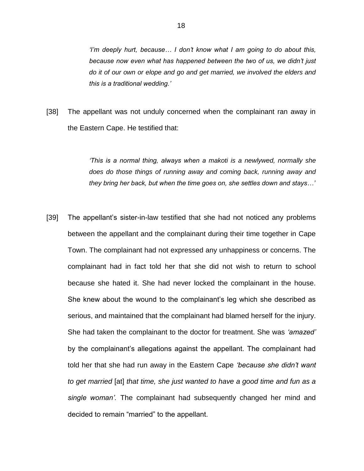*'I'm deeply hurt, because… I don't know what I am going to do about this, because now even what has happened between the two of us, we didn't just do it of our own or elope and go and get married, we involved the elders and this is a traditional wedding.'*

[38] The appellant was not unduly concerned when the complainant ran away in the Eastern Cape. He testified that:

> *'This is a normal thing, always when a makoti is a newlywed, normally she does do those things of running away and coming back, running away and they bring her back, but when the time goes on, she settles down and stays…'*

[39] The appellant's sister-in-law testified that she had not noticed any problems between the appellant and the complainant during their time together in Cape Town. The complainant had not expressed any unhappiness or concerns. The complainant had in fact told her that she did not wish to return to school because she hated it. She had never locked the complainant in the house. She knew about the wound to the complainant's leg which she described as serious, and maintained that the complainant had blamed herself for the injury. She had taken the complainant to the doctor for treatment. She was *'amazed'* by the complainant's allegations against the appellant. The complainant had told her that she had run away in the Eastern Cape *'because she didn't want to get married* [at] *that time, she just wanted to have a good time and fun as a single woman'.* The complainant had subsequently changed her mind and decided to remain "married" to the appellant.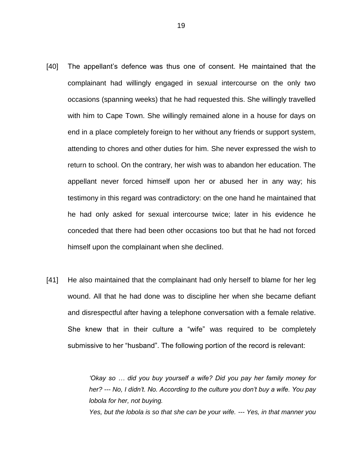- [40] The appellant's defence was thus one of consent. He maintained that the complainant had willingly engaged in sexual intercourse on the only two occasions (spanning weeks) that he had requested this. She willingly travelled with him to Cape Town. She willingly remained alone in a house for days on end in a place completely foreign to her without any friends or support system, attending to chores and other duties for him. She never expressed the wish to return to school. On the contrary, her wish was to abandon her education. The appellant never forced himself upon her or abused her in any way; his testimony in this regard was contradictory: on the one hand he maintained that he had only asked for sexual intercourse twice; later in his evidence he conceded that there had been other occasions too but that he had not forced himself upon the complainant when she declined.
- [41] He also maintained that the complainant had only herself to blame for her leg wound. All that he had done was to discipline her when she became defiant and disrespectful after having a telephone conversation with a female relative. She knew that in their culture a "wife" was required to be completely submissive to her "husband". The following portion of the record is relevant:

*'Okay so … did you buy yourself a wife? Did you pay her family money for her? --- No, I didn't. No. According to the culture you don't buy a wife. You pay lobola for her, not buying.*

*Yes, but the lobola is so that she can be your wife. --- Yes, in that manner you* 

19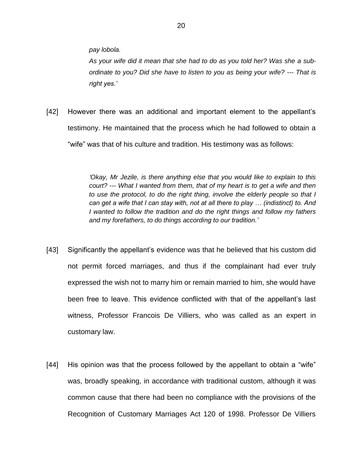*pay lobola.*

*As your wife did it mean that she had to do as you told her? Was she a subordinate to you? Did she have to listen to you as being your wife? --- That is right yes.'*

[42] However there was an additional and important element to the appellant's testimony. He maintained that the process which he had followed to obtain a "wife" was that of his culture and tradition. His testimony was as follows:

> *'Okay, Mr Jezile, is there anything else that you would like to explain to this court? --- What I wanted from them, that of my heart is to get a wife and then to use the protocol, to do the right thing, involve the elderly people so that I can get a wife that I can stay with, not at all there to play … (indistinct) to. And I wanted to follow the tradition and do the right things and follow my fathers and my forefathers, to do things according to our tradition.'*

- [43] Significantly the appellant's evidence was that he believed that his custom did not permit forced marriages, and thus if the complainant had ever truly expressed the wish not to marry him or remain married to him, she would have been free to leave. This evidence conflicted with that of the appellant's last witness, Professor Francois De Villiers, who was called as an expert in customary law.
- [44] His opinion was that the process followed by the appellant to obtain a "wife" was, broadly speaking, in accordance with traditional custom, although it was common cause that there had been no compliance with the provisions of the Recognition of Customary Marriages Act 120 of 1998. Professor De Villiers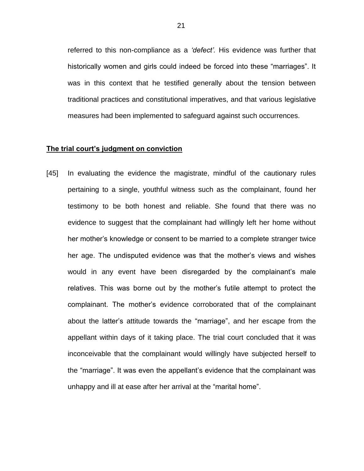referred to this non-compliance as a *'defect'.* His evidence was further that historically women and girls could indeed be forced into these "marriages". It was in this context that he testified generally about the tension between traditional practices and constitutional imperatives, and that various legislative measures had been implemented to safeguard against such occurrences.

## **The trial court's judgment on conviction**

[45] In evaluating the evidence the magistrate, mindful of the cautionary rules pertaining to a single, youthful witness such as the complainant, found her testimony to be both honest and reliable. She found that there was no evidence to suggest that the complainant had willingly left her home without her mother's knowledge or consent to be married to a complete stranger twice her age. The undisputed evidence was that the mother's views and wishes would in any event have been disregarded by the complainant's male relatives. This was borne out by the mother's futile attempt to protect the complainant. The mother's evidence corroborated that of the complainant about the latter's attitude towards the "marriage", and her escape from the appellant within days of it taking place. The trial court concluded that it was inconceivable that the complainant would willingly have subjected herself to the "marriage". It was even the appellant's evidence that the complainant was unhappy and ill at ease after her arrival at the "marital home".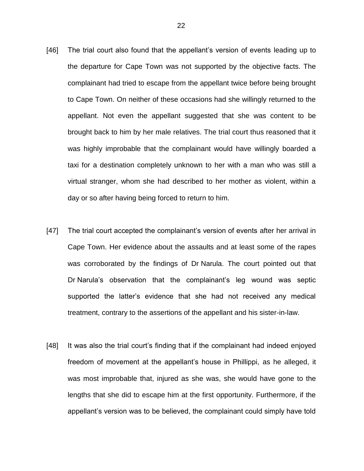- [46] The trial court also found that the appellant's version of events leading up to the departure for Cape Town was not supported by the objective facts. The complainant had tried to escape from the appellant twice before being brought to Cape Town. On neither of these occasions had she willingly returned to the appellant. Not even the appellant suggested that she was content to be brought back to him by her male relatives. The trial court thus reasoned that it was highly improbable that the complainant would have willingly boarded a taxi for a destination completely unknown to her with a man who was still a virtual stranger, whom she had described to her mother as violent, within a day or so after having being forced to return to him.
- [47] The trial court accepted the complainant's version of events after her arrival in Cape Town. Her evidence about the assaults and at least some of the rapes was corroborated by the findings of Dr Narula. The court pointed out that Dr Narula's observation that the complainant's leg wound was septic supported the latter's evidence that she had not received any medical treatment, contrary to the assertions of the appellant and his sister-in-law.
- [48] It was also the trial court's finding that if the complainant had indeed enjoyed freedom of movement at the appellant's house in Phillippi, as he alleged, it was most improbable that, injured as she was, she would have gone to the lengths that she did to escape him at the first opportunity. Furthermore, if the appellant's version was to be believed, the complainant could simply have told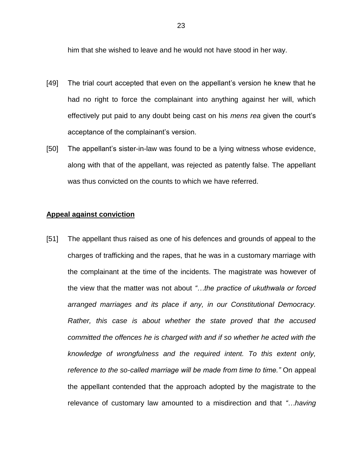him that she wished to leave and he would not have stood in her way.

- [49] The trial court accepted that even on the appellant's version he knew that he had no right to force the complainant into anything against her will, which effectively put paid to any doubt being cast on his *mens rea* given the court's acceptance of the complainant's version.
- [50] The appellant's sister-in-law was found to be a lying witness whose evidence, along with that of the appellant, was rejected as patently false. The appellant was thus convicted on the counts to which we have referred.

#### **Appeal against conviction**

[51] The appellant thus raised as one of his defences and grounds of appeal to the charges of trafficking and the rapes, that he was in a customary marriage with the complainant at the time of the incidents. The magistrate was however of the view that the matter was not about *"…the practice of ukuthwala or forced arranged marriages and its place if any, in our Constitutional Democracy. Rather, this case is about whether the state proved that the accused committed the offences he is charged with and if so whether he acted with the knowledge of wrongfulness and the required intent. To this extent only, reference to the so-called marriage will be made from time to time."* On appeal the appellant contended that the approach adopted by the magistrate to the relevance of customary law amounted to a misdirection and that *"…having*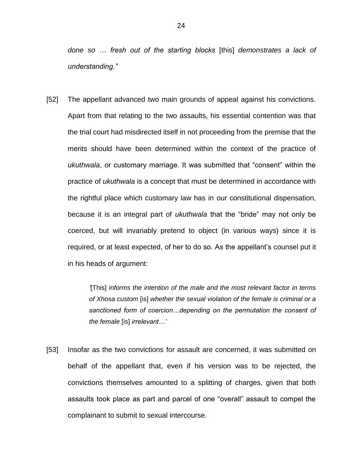*done so … fresh out of the starting blocks* [this] *demonstrates a lack of understanding."* 

[52] The appellant advanced two main grounds of appeal against his convictions. Apart from that relating to the two assaults, his essential contention was that the trial court had misdirected itself in not proceeding from the premise that the merits should have been determined within the context of the practice of *ukuthwala*, or customary marriage. It was submitted that "consent" within the practice of *ukuthwala* is a concept that must be determined in accordance with the rightful place which customary law has in our constitutional dispensation, because it is an integral part of *ukuthwala* that the "bride" may not only be coerced, but will invariably pretend to object (in various ways) since it is required, or at least expected, of her to do so. As the appellant's counsel put it in his heads of argument:

> *'*[This] *informs the intention of the male and the most relevant factor in terms of Xhosa custom* [is] *whether the sexual violation of the female is criminal or a sanctioned form of coercion…depending on the permutation the consent of the female* [is] *irrelevant…'*

[53] Insofar as the two convictions for assault are concerned, it was submitted on behalf of the appellant that, even if his version was to be rejected, the convictions themselves amounted to a splitting of charges, given that both assaults took place as part and parcel of one "overall" assault to compel the complainant to submit to sexual intercourse.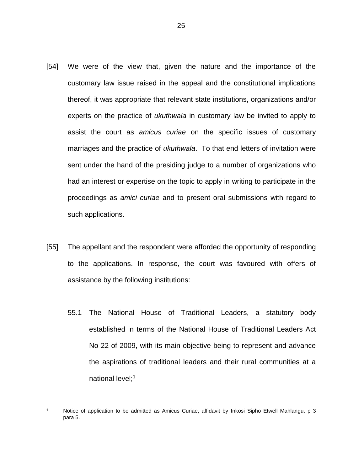- [54] We were of the view that, given the nature and the importance of the customary law issue raised in the appeal and the constitutional implications thereof, it was appropriate that relevant state institutions, organizations and/or experts on the practice of *ukuthwala* in customary law be invited to apply to assist the court as *amicus curiae* on the specific issues of customary marriages and the practice of *ukuthwala*. To that end letters of invitation were sent under the hand of the presiding judge to a number of organizations who had an interest or expertise on the topic to apply in writing to participate in the proceedings as *amici curiae* and to present oral submissions with regard to such applications.
- [55] The appellant and the respondent were afforded the opportunity of responding to the applications. In response, the court was favoured with offers of assistance by the following institutions:
	- 55.1 The National House of Traditional Leaders, a statutory body established in terms of the National House of Traditional Leaders Act No 22 of 2009, with its main objective being to represent and advance the aspirations of traditional leaders and their rural communities at a national level;<sup>1</sup>

<sup>1</sup> Notice of application to be admitted as Amicus Curiae, affidavit by Inkosi Sipho Etwell Mahlangu, p 3 para 5.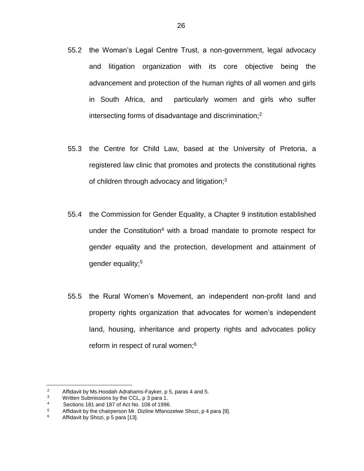- 55.2 the Woman's Legal Centre Trust, a non-government, legal advocacy and litigation organization with its core objective being the advancement and protection of the human rights of all women and girls in South Africa, and particularly women and girls who suffer intersecting forms of disadvantage and discrimination;<sup>2</sup>
- 55.3 the Centre for Child Law, based at the University of Pretoria, a registered law clinic that promotes and protects the constitutional rights of children through advocacy and litigation; $3$
- 55.4 the Commission for Gender Equality, a Chapter 9 institution established under the Constitution<sup>4</sup> with a broad mandate to promote respect for gender equality and the protection, development and attainment of gender equality;<sup>5</sup>
- 55.5 the Rural Women's Movement, an independent non-profit land and property rights organization that advocates for women's independent land, housing, inheritance and property rights and advocates policy reform in respect of rural women;<sup>6</sup>

<sup>&</sup>lt;sup>2</sup> Affidavit by Ms. Hoodah Adrahams-Fayker, p 5, paras 4 and 5.<br><sup>3</sup> Mritten Submissions by the CCL p 2 para 1.

<sup>&</sup>lt;sup>3</sup> Written Submissions by the CCL, p 3 para 1.<br><sup>4</sup> Sections 181 and 187 of Act No. 108 of 1996

<sup>&</sup>lt;sup>4</sup> Sections 181 and 187 of Act No. 108 of 1996.<br> $\frac{4}{5}$  Affidovit by the obsignation Mr. Digline Mfones

<sup>&</sup>lt;sup>5</sup> Affidavit by the chairperson Mr. Dizline Mfanozelwe Shozi, p 4 para [9].<br>6 Affidavit by Shozi, p 5 para [12]

Affidavit by Shozi, p 5 para [13].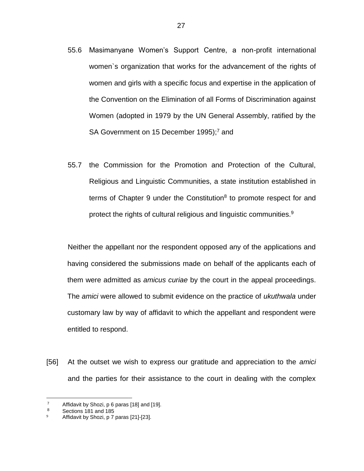- 55.6 Masimanyane Women's Support Centre, a non-profit international women`s organization that works for the advancement of the rights of women and girls with a specific focus and expertise in the application of the Convention on the Elimination of all Forms of Discrimination against Women (adopted in 1979 by the UN General Assembly, ratified by the SA Government on 15 December 1995);<sup>7</sup> and
- 55.7 the Commission for the Promotion and Protection of the Cultural, Religious and Linguistic Communities, a state institution established in terms of Chapter 9 under the Constitution $8$  to promote respect for and protect the rights of cultural religious and linguistic communities.<sup>9</sup>

Neither the appellant nor the respondent opposed any of the applications and having considered the submissions made on behalf of the applicants each of them were admitted as *amicus curiae* by the court in the appeal proceedings. The *amici* were allowed to submit evidence on the practice of *ukuthwala* under customary law by way of affidavit to which the appellant and respondent were entitled to respond.

[56] At the outset we wish to express our gratitude and appreciation to the *amici*  and the parties for their assistance to the court in dealing with the complex

<sup>&</sup>lt;sup>7</sup> Affidavit by Shozi, p 6 paras [18] and [19].<br><sup>8</sup> Sections 181 and 185

Sections 181 and 185

Affidavit by Shozi, p 7 paras [21]-[23].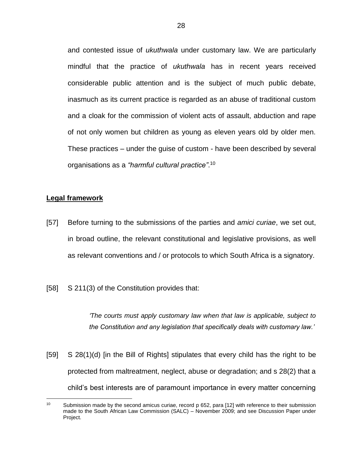and contested issue of *ukuthwala* under customary law. We are particularly mindful that the practice of *ukuthwala* has in recent years received considerable public attention and is the subject of much public debate, inasmuch as its current practice is regarded as an abuse of traditional custom and a cloak for the commission of violent acts of assault, abduction and rape of not only women but children as young as eleven years old by older men. These practices – under the guise of custom - have been described by several organisations as a *"harmful cultural practice"*. 10

# **Legal framework**

 $\overline{a}$ 

- [57] Before turning to the submissions of the parties and *amici curiae*, we set out, in broad outline, the relevant constitutional and legislative provisions, as well as relevant conventions and / or protocols to which South Africa is a signatory.
- [58] S 211(3) of the Constitution provides that:

*'The courts must apply customary law when that law is applicable, subject to the Constitution and any legislation that specifically deals with customary law.'*

[59] S 28(1)(d) [in the Bill of Rights] stipulates that every child has the right to be protected from maltreatment, neglect, abuse or degradation; and s 28(2) that a child's best interests are of paramount importance in every matter concerning

<sup>10</sup> Submission made by the second amicus curiae, record p 652, para [12] with reference to their submission made to the South African Law Commission (SALC) – November 2009; and see Discussion Paper under Project.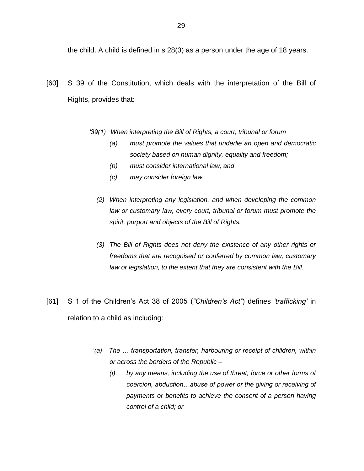the child. A child is defined in s 28(3) as a person under the age of 18 years.

- [60] S 39 of the Constitution, which deals with the interpretation of the Bill of Rights, provides that:
	- *'39(1) When interpreting the Bill of Rights, a court, tribunal or forum* 
		- *(a) must promote the values that underlie an open and democratic society based on human dignity, equality and freedom;*
		- *(b) must consider international law; and*
		- *(c) may consider foreign law.*
		- *(2) When interpreting any legislation, and when developing the common law or customary law, every court, tribunal or forum must promote the spirit, purport and objects of the Bill of Rights.*
		- *(3) The Bill of Rights does not deny the existence of any other rights or freedoms that are recognised or conferred by common law, customary law or legislation, to the extent that they are consistent with the Bill.'*
- [61] S 1 of the Children's Act 38 of 2005 (*"Children's Act"*) defines *'trafficking'* in relation to a child as including:
	- *'(a) The … transportation, transfer, harbouring or receipt of children, within or across the borders of the Republic –*
		- *(i) by any means, including the use of threat, force or other forms of coercion, abduction…abuse of power or the giving or receiving of payments or benefits to achieve the consent of a person having control of a child; or*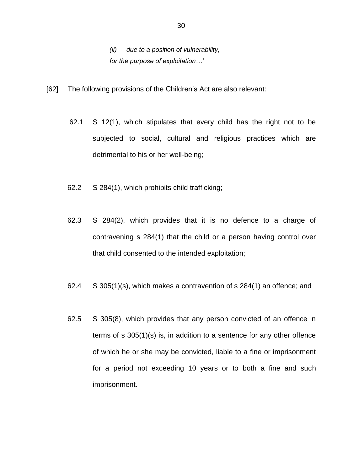*(ii) due to a position of vulnerability, for the purpose of exploitation…'*

- [62] The following provisions of the Children's Act are also relevant:
	- 62.1 S 12(1), which stipulates that every child has the right not to be subjected to social, cultural and religious practices which are detrimental to his or her well-being;
	- 62.2 S 284(1), which prohibits child trafficking;
	- 62.3 S 284(2), which provides that it is no defence to a charge of contravening s 284(1) that the child or a person having control over that child consented to the intended exploitation;
	- 62.4 S 305(1)(s), which makes a contravention of s 284(1) an offence; and
	- 62.5 S 305(8), which provides that any person convicted of an offence in terms of s 305(1)(s) is, in addition to a sentence for any other offence of which he or she may be convicted, liable to a fine or imprisonment for a period not exceeding 10 years or to both a fine and such imprisonment.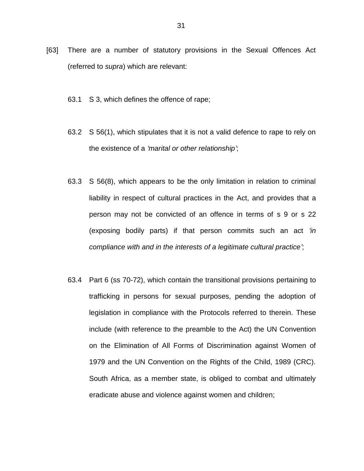- [63] There are a number of statutory provisions in the Sexual Offences Act (referred to *supra*) which are relevant:
	- 63.1 S 3, which defines the offence of rape;
	- 63.2 S 56(1), which stipulates that it is not a valid defence to rape to rely on the existence of a *'marital or other relationship'*;
	- 63.3 S 56(8), which appears to be the only limitation in relation to criminal liability in respect of cultural practices in the Act, and provides that a person may not be convicted of an offence in terms of s 9 or s 22 (exposing bodily parts) if that person commits such an act *'in compliance with and in the interests of a legitimate cultural practice'*;
	- 63.4 Part 6 (ss 70-72), which contain the transitional provisions pertaining to trafficking in persons for sexual purposes, pending the adoption of legislation in compliance with the Protocols referred to therein. These include (with reference to the preamble to the Act) the UN Convention on the Elimination of All Forms of Discrimination against Women of 1979 and the UN Convention on the Rights of the Child, 1989 (CRC). South Africa, as a member state, is obliged to combat and ultimately eradicate abuse and violence against women and children;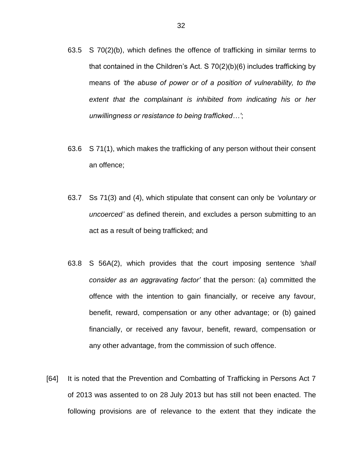- 63.5 S 70(2)(b), which defines the offence of trafficking in similar terms to that contained in the Children's Act. S 70(2)(b)(6) includes trafficking by means of *'the abuse of power or of a position of vulnerability, to the extent that the complainant is inhibited from indicating his or her unwillingness or resistance to being trafficked…'*;
- 63.6 S 71(1), which makes the trafficking of any person without their consent an offence;
- 63.7 Ss 71(3) and (4), which stipulate that consent can only be *'voluntary or uncoerced'* as defined therein, and excludes a person submitting to an act as a result of being trafficked; and
- 63.8 S 56A(2), which provides that the court imposing sentence *'shall consider as an aggravating factor'* that the person: (a) committed the offence with the intention to gain financially, or receive any favour, benefit, reward, compensation or any other advantage; or (b) gained financially, or received any favour, benefit, reward, compensation or any other advantage, from the commission of such offence.
- [64] It is noted that the Prevention and Combatting of Trafficking in Persons Act 7 of 2013 was assented to on 28 July 2013 but has still not been enacted. The following provisions are of relevance to the extent that they indicate the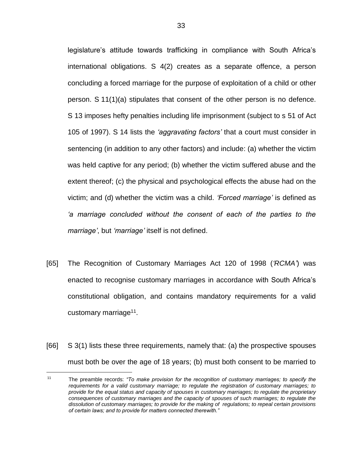legislature's attitude towards trafficking in compliance with South Africa's international obligations. S 4(2) creates as a separate offence, a person concluding a forced marriage for the purpose of exploitation of a child or other person. S 11(1)(a) stipulates that consent of the other person is no defence. S 13 imposes hefty penalties including life imprisonment (subject to s 51 of Act 105 of 1997). S 14 lists the *'aggravating factors'* that a court must consider in sentencing (in addition to any other factors) and include: (a) whether the victim was held captive for any period; (b) whether the victim suffered abuse and the extent thereof; (c) the physical and psychological effects the abuse had on the victim; and (d) whether the victim was a child. *'Forced marriage'* is defined as *'a marriage concluded without the consent of each of the parties to the marriage'*, but *'marriage'* itself is not defined.

- [65] The Recognition of Customary Marriages Act 120 of 1998 (*'RCMA'*) was enacted to recognise customary marriages in accordance with South Africa's constitutional obligation, and contains mandatory requirements for a valid customary marriage<sup>11</sup>.
- [66] S 3(1) lists these three requirements, namely that: (a) the prospective spouses must both be over the age of 18 years; (b) must both consent to be married to

<sup>11</sup> The preamble records: *"To make provision for the recognition of customary marriages; to specify the requirements for a valid customary marriage; to regulate the registration of customary marriages; to provide for the equal status and capacity of spouses in customary marriages; to regulate the proprietary consequences of customary marriages and the capacity of spouses of such marriages; to regulate the dissolution of customary marriages; to provide for the making of regulations; to repeal certain provisions of certain laws; and to provide for matters connected therewith."*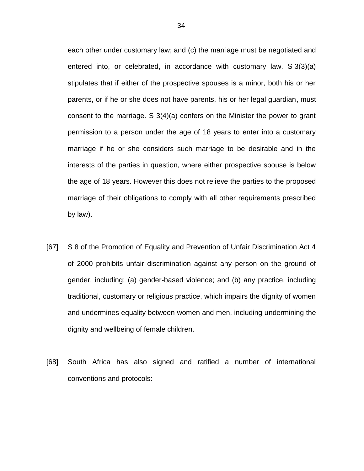each other under customary law; and (c) the marriage must be negotiated and entered into, or celebrated, in accordance with customary law. S 3(3)(a) stipulates that if either of the prospective spouses is a minor, both his or her parents, or if he or she does not have parents, his or her legal guardian, must consent to the marriage. S 3(4)(a) confers on the Minister the power to grant permission to a person under the age of 18 years to enter into a customary marriage if he or she considers such marriage to be desirable and in the interests of the parties in question, where either prospective spouse is below the age of 18 years. However this does not relieve the parties to the proposed marriage of their obligations to comply with all other requirements prescribed by law).

- [67] S 8 of the Promotion of Equality and Prevention of Unfair Discrimination Act 4 of 2000 prohibits unfair discrimination against any person on the ground of gender, including: (a) gender-based violence; and (b) any practice, including traditional, customary or religious practice, which impairs the dignity of women and undermines equality between women and men, including undermining the dignity and wellbeing of female children.
- [68] South Africa has also signed and ratified a number of international conventions and protocols: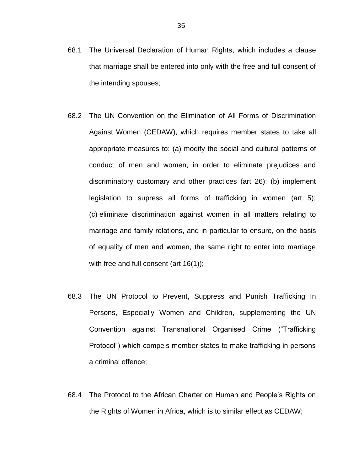- 68.1 The Universal Declaration of Human Rights, which includes a clause that marriage shall be entered into only with the free and full consent of the intending spouses;
- 68.2 The UN Convention on the Elimination of All Forms of Discrimination Against Women (CEDAW), which requires member states to take all appropriate measures to: (a) modify the social and cultural patterns of conduct of men and women, in order to eliminate prejudices and discriminatory customary and other practices (art 26); (b) implement legislation to supress all forms of trafficking in women (art 5); (c) eliminate discrimination against women in all matters relating to marriage and family relations, and in particular to ensure, on the basis of equality of men and women, the same right to enter into marriage with free and full consent (art 16(1));
- 68.3 The UN Protocol to Prevent, Suppress and Punish Trafficking In Persons, Especially Women and Children, supplementing the UN Convention against Transnational Organised Crime ("Trafficking Protocol") which compels member states to make trafficking in persons a criminal offence;
- 68.4 The Protocol to the African Charter on Human and People's Rights on the Rights of Women in Africa, which is to similar effect as CEDAW;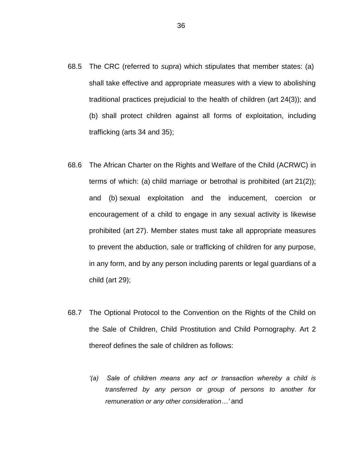- 68.5 The CRC (referred to *supra*) which stipulates that member states: (a) shall take effective and appropriate measures with a view to abolishing traditional practices prejudicial to the health of children (art 24(3)); and (b) shall protect children against all forms of exploitation, including trafficking (arts 34 and 35);
- 68.6 The African Charter on the Rights and Welfare of the Child (ACRWC) in terms of which: (a) child marriage or betrothal is prohibited (art 21(2)); and (b) sexual exploitation and the inducement, coercion or encouragement of a child to engage in any sexual activity is likewise prohibited (art 27). Member states must take all appropriate measures to prevent the abduction, sale or trafficking of children for any purpose, in any form, and by any person including parents or legal guardians of a child (art 29);
- 68.7 The Optional Protocol to the Convention on the Rights of the Child on the Sale of Children, Child Prostitution and Child Pornography. Art 2 thereof defines the sale of children as follows:
	- *'(a) Sale of children means any act or transaction whereby a child is transferred by any person or group of persons to another for remuneration or any other consideration…'* and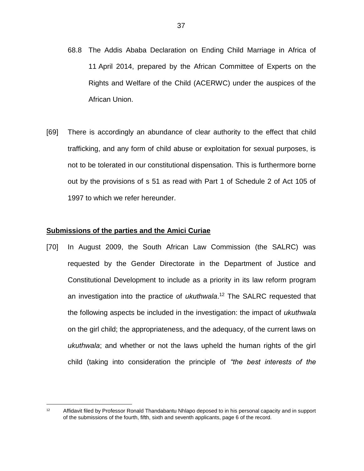- 68.8 The Addis Ababa Declaration on Ending Child Marriage in Africa of 11 April 2014, prepared by the African Committee of Experts on the Rights and Welfare of the Child (ACERWC) under the auspices of the African Union.
- [69] There is accordingly an abundance of clear authority to the effect that child trafficking, and any form of child abuse or exploitation for sexual purposes, is not to be tolerated in our constitutional dispensation. This is furthermore borne out by the provisions of s 51 as read with Part 1 of Schedule 2 of Act 105 of 1997 to which we refer hereunder.

#### **Submissions of the parties and the Amici Curiae**

 $\overline{a}$ 

[70] In August 2009, the South African Law Commission (the SALRC) was requested by the Gender Directorate in the Department of Justice and Constitutional Development to include as a priority in its law reform program an investigation into the practice of *ukuthwala*. <sup>12</sup> The SALRC requested that the following aspects be included in the investigation: the impact of *ukuthwala* on the girl child; the appropriateness, and the adequacy, of the current laws on *ukuthwala*; and whether or not the laws upheld the human rights of the girl child (taking into consideration the principle of *"the best interests of the* 

<sup>&</sup>lt;sup>12</sup> Affidavit filed by Professor Ronald Thandabantu Nhlapo deposed to in his personal capacity and in support of the submissions of the fourth, fifth, sixth and seventh applicants, page 6 of the record.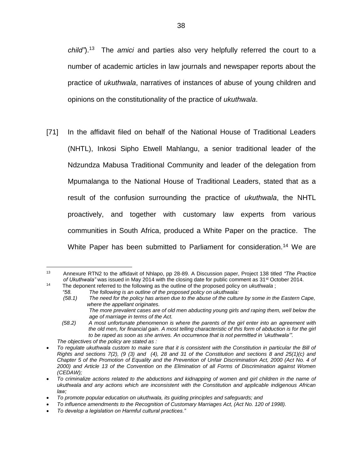*child"*).<sup>13</sup> The *amici* and parties also very helpfully referred the court to a number of academic articles in law journals and newspaper reports about the practice of *ukuthwala*, narratives of instances of abuse of young children and opinions on the constitutionality of the practice of *ukuthwala*.

[71] In the affidavit filed on behalf of the National House of Traditional Leaders (NHTL), Inkosi Sipho Etwell Mahlangu, a senior traditional leader of the Ndzundza Mabusa Traditional Community and leader of the delegation from Mpumalanga to the National House of Traditional Leaders, stated that as a result of the confusion surrounding the practice of *ukuthwala*, the NHTL proactively, and together with customary law experts from various communities in South Africa, produced a White Paper on the practice. The White Paper has been submitted to Parliament for consideration.<sup>14</sup> We are

<sup>13</sup> Annexure RTN2 to the affidavit of Nhlapo, pp 28-89. A Discussion paper, Project 138 titled *"The Practice*  of Ukuthwala" was issued in May 2014 with the closing date for public comment as 31<sup>st</sup> October 2014.

<sup>14</sup> The deponent referred to the following as the outline of the proposed policy on *ukuthwala* ;

*<sup>&</sup>quot;58. The following is an outline of the proposed policy on ukuthwala:*

*<sup>(58.1)</sup> The need for the policy has arisen due to the abuse of the culture by some in the Eastern Cape, where the appellant originates.*

*The more prevalent cases are of old men abducting young girls and raping them, well below the age of marriage in terms of the Act.*

 *<sup>(58.2)</sup> A most unfortunate phenomenon is where the parents of the girl enter into an agreement with the old men, for financial gain. A most telling characteristic of this form of abduction is for the girl to be raped as soon as she arrives. An occurrence that is not permitted in 'ukuthwala'".*

*The objectives of the policy are stated as :*

*To regulate ukuthwala custom to make sure that it is consistent with the Constitution in particular the Bill of Rights and sections 7(2), (9 (3) and (4), 28 and 31 of the Constitution and sections 8 and 25(1)(c) and Chapter 5 of the Promotion of Equality and the Prevention of Unfair Discrimination Act, 2000 (Act No. 4 of 2000) and Article 13 of the Convention on the Elimination of all Forms of Discrimination against Women (CEDAW);*

*To criminalize actions related to the abductions and kidnapping of women and girl children in the name of ukuthwala and any actions which are inconsistent with the Constitution and applicable indigenous African law;*

*To promote popular education on ukuthwala, its guiding principles and safeguards; and* 

*To influence amendments to the Recognition of Customary Marriages Act, (Act No. 120 of 1998).*

*To develop a legislation on Harmful cultural practices."*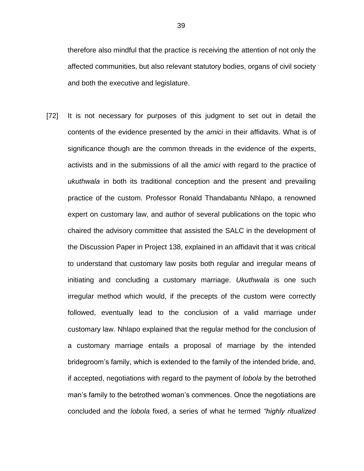therefore also mindful that the practice is receiving the attention of not only the affected communities, but also relevant statutory bodies, organs of civil society and both the executive and legislature.

[72] It is not necessary for purposes of this judgment to set out in detail the contents of the evidence presented by the *amici* in their affidavits. What is of significance though are the common threads in the evidence of the experts, activists and in the submissions of all the *amici* with regard to the practice of *ukuthwala* in both its traditional conception and the present and prevailing practice of the custom. Professor Ronald Thandabantu Nhlapo, a renowned expert on customary law, and author of several publications on the topic who chaired the advisory committee that assisted the SALC in the development of the Discussion Paper in Project 138, explained in an affidavit that it was critical to understand that customary law posits both regular and irregular means of initiating and concluding a customary marriage. *Ukuthwala* is one such irregular method which would, if the precepts of the custom were correctly followed, eventually lead to the conclusion of a valid marriage under customary law. Nhlapo explained that the regular method for the conclusion of a customary marriage entails a proposal of marriage by the intended bridegroom's family, which is extended to the family of the intended bride, and, if accepted, negotiations with regard to the payment of *lobola* by the betrothed man's family to the betrothed woman's commences. Once the negotiations are concluded and the *lobola* fixed, a series of what he termed *"highly ritualized*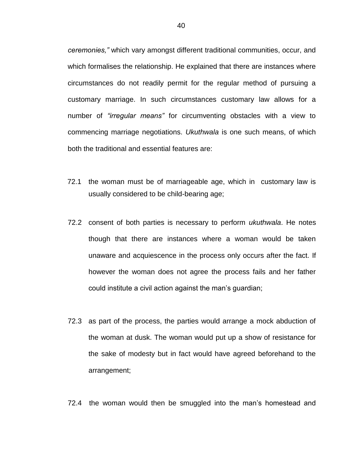*ceremonies,"* which vary amongst different traditional communities, occur, and which formalises the relationship. He explained that there are instances where circumstances do not readily permit for the regular method of pursuing a customary marriage. In such circumstances customary law allows for a number of *"irregular means"* for circumventing obstacles with a view to commencing marriage negotiations. *Ukuthwala* is one such means, of which both the traditional and essential features are:

- 72.1 the woman must be of marriageable age, which in customary law is usually considered to be child-bearing age;
- 72.2 consent of both parties is necessary to perform *ukuthwala*. He notes though that there are instances where a woman would be taken unaware and acquiescence in the process only occurs after the fact. If however the woman does not agree the process fails and her father could institute a civil action against the man's guardian;
- 72.3 as part of the process, the parties would arrange a mock abduction of the woman at dusk. The woman would put up a show of resistance for the sake of modesty but in fact would have agreed beforehand to the arrangement;
- 72.4 the woman would then be smuggled into the man's homestead and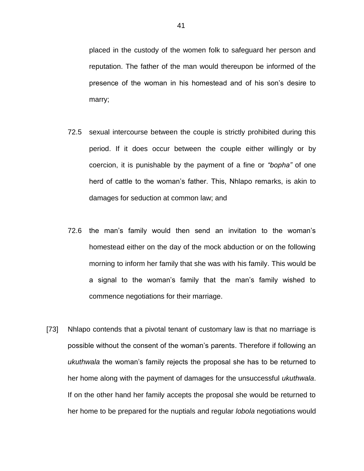placed in the custody of the women folk to safeguard her person and reputation. The father of the man would thereupon be informed of the presence of the woman in his homestead and of his son's desire to marry;

- 72.5 sexual intercourse between the couple is strictly prohibited during this period. If it does occur between the couple either willingly or by coercion, it is punishable by the payment of a fine or *"bopha"* of one herd of cattle to the woman's father. This, Nhlapo remarks, is akin to damages for seduction at common law; and
- 72.6 the man's family would then send an invitation to the woman's homestead either on the day of the mock abduction or on the following morning to inform her family that she was with his family. This would be a signal to the woman's family that the man's family wished to commence negotiations for their marriage.
- [73] Nhlapo contends that a pivotal tenant of customary law is that no marriage is possible without the consent of the woman's parents. Therefore if following an *ukuthwala* the woman's family rejects the proposal she has to be returned to her home along with the payment of damages for the unsuccessful *ukuthwala*. If on the other hand her family accepts the proposal she would be returned to her home to be prepared for the nuptials and regular *lobola* negotiations would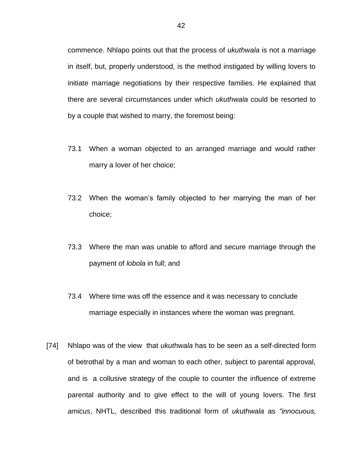commence. Nhlapo points out that the process of *ukuthwala* is not a marriage in itself, but, properly understood, is the method instigated by willing lovers to initiate marriage negotiations by their respective families. He explained that there are several circumstances under which *ukuthwala* could be resorted to by a couple that wished to marry, the foremost being:

- 73.1 When a woman objected to an arranged marriage and would rather marry a lover of her choice;
- 73.2 When the woman's family objected to her marrying the man of her choice;
- 73.3 Where the man was unable to afford and secure marriage through the payment of *lobola* in full; and
- 73.4 Where time was off the essence and it was necessary to conclude marriage especially in instances where the woman was pregnant.
- [74] Nhlapo was of the view that *ukuthwala* has to be seen as a self-directed form of betrothal by a man and woman to each other, subject to parental approval, and is a collusive strategy of the couple to counter the influence of extreme parental authority and to give effect to the will of young lovers. The first *amicus*, NHTL, described this traditional form of *ukuthwala* as *"innocuous,*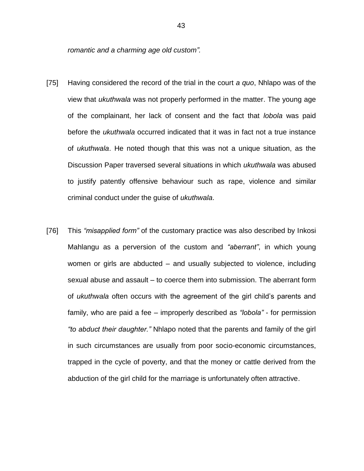*romantic and a charming age old custom".*

- [75] Having considered the record of the trial in the court *a quo*, Nhlapo was of the view that *ukuthwala* was not properly performed in the matter. The young age of the complainant, her lack of consent and the fact that *lobola* was paid before the *ukuthwala* occurred indicated that it was in fact not a true instance of *ukuthwala*. He noted though that this was not a unique situation, as the Discussion Paper traversed several situations in which *ukuthwala* was abused to justify patently offensive behaviour such as rape, violence and similar criminal conduct under the guise of *ukuthwala*.
- [76] This *"misapplied form"* of the customary practice was also described by Inkosi Mahlangu as a perversion of the custom and *"aberrant"*, in which young women or girls are abducted – and usually subjected to violence, including sexual abuse and assault – to coerce them into submission. The aberrant form of *ukuthwala* often occurs with the agreement of the girl child's parents and family, who are paid a fee – improperly described as *"lobola"* - for permission *"to abduct their daughter."* Nhlapo noted that the parents and family of the girl in such circumstances are usually from poor socio-economic circumstances, trapped in the cycle of poverty, and that the money or cattle derived from the abduction of the girl child for the marriage is unfortunately often attractive.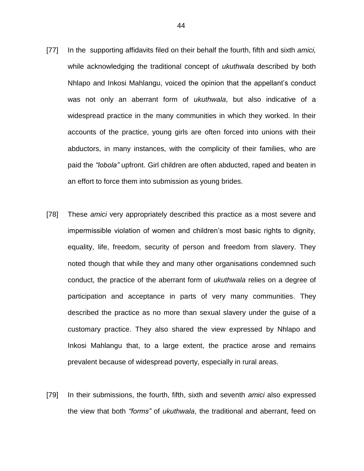- [77] In the supporting affidavits filed on their behalf the fourth, fifth and sixth *amici,* while acknowledging the traditional concept of *ukuthwala* described by both Nhlapo and Inkosi Mahlangu, voiced the opinion that the appellant's conduct was not only an aberrant form of *ukuthwala*, but also indicative of a widespread practice in the many communities in which they worked. In their accounts of the practice, young girls are often forced into unions with their abductors, in many instances, with the complicity of their families, who are paid the *"lobola"* upfront. Girl children are often abducted, raped and beaten in an effort to force them into submission as young brides.
- [78] These *amici* very appropriately described this practice as a most severe and impermissible violation of women and children's most basic rights to dignity, equality, life, freedom, security of person and freedom from slavery. They noted though that while they and many other organisations condemned such conduct, the practice of the aberrant form of *ukuthwala* relies on a degree of participation and acceptance in parts of very many communities. They described the practice as no more than sexual slavery under the guise of a customary practice. They also shared the view expressed by Nhlapo and Inkosi Mahlangu that, to a large extent, the practice arose and remains prevalent because of widespread poverty, especially in rural areas.
- [79] In their submissions, the fourth, fifth, sixth and seventh *amici* also expressed the view that both *"forms"* of *ukuthwala*, the traditional and aberrant, feed on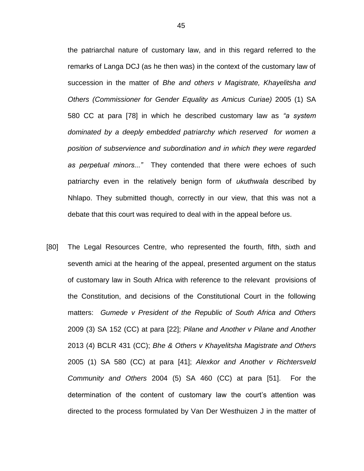the patriarchal nature of customary law, and in this regard referred to the remarks of Langa DCJ (as he then was) in the context of the customary law of succession in the matter of *Bhe and others v Magistrate, Khayelitsha and Others (Commissioner for Gender Equality as Amicus Curiae)* 2005 (1) SA 580 CC at para [78] in which he described customary law as *"a system dominated by a deeply embedded patriarchy which reserved for women a position of subservience and subordination and in which they were regarded as perpetual minors..."* They contended that there were echoes of such patriarchy even in the relatively benign form of *ukuthwala* described by Nhlapo. They submitted though, correctly in our view, that this was not a debate that this court was required to deal with in the appeal before us.

[80] The Legal Resources Centre, who represented the fourth, fifth, sixth and seventh amici at the hearing of the appeal, presented argument on the status of customary law in South Africa with reference to the relevant provisions of the Constitution, and decisions of the Constitutional Court in the following matters: *Gumede v President of the Republic of South Africa and Others* 2009 (3) SA 152 (CC) at para [22]; *Pilane and Another v Pilane and Another* 2013 (4) BCLR 431 (CC); *Bhe & Others v Khayelitsha Magistrate and Others* 2005 (1) SA 580 (CC) at para [41]; *Alexkor and Another v Richtersveld Community and Others* 2004 (5) SA 460 (CC) at para [51]. For the determination of the content of customary law the court's attention was directed to the process formulated by Van Der Westhuizen J in the matter of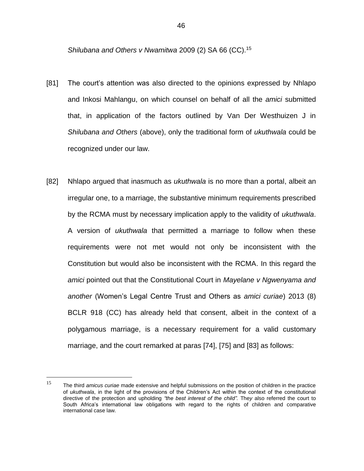*Shilubana and Others v Nwamitwa* 2009 (2) SA 66 (CC).<sup>15</sup>

- [81] The court's attention was also directed to the opinions expressed by Nhlapo and Inkosi Mahlangu, on which counsel on behalf of all the *amici* submitted that, in application of the factors outlined by Van Der Westhuizen J in *Shilubana and Others* (above), only the traditional form of *ukuthwala* could be recognized under our law.
- [82] Nhlapo argued that inasmuch as *ukuthwala* is no more than a portal, albeit an irregular one, to a marriage, the substantive minimum requirements prescribed by the RCMA must by necessary implication apply to the validity of *ukuthwala*. A version of *ukuthwala* that permitted a marriage to follow when these requirements were not met would not only be inconsistent with the Constitution but would also be inconsistent with the RCMA. In this regard the *amici* pointed out that the Constitutional Court in *Mayelane v Ngwenyama and another* (Women's Legal Centre Trust and Others as *amici curiae*) 2013 (8) BCLR 918 (CC) has already held that consent, albeit in the context of a polygamous marriage, is a necessary requirement for a valid customary marriage, and the court remarked at paras [74], [75] and [83] as follows:

<sup>15</sup> <sup>15</sup> The third *amicus curiae* made extensive and helpful submissions on the position of children in the practice of *ukuthwala*, in the light of the provisions of the Children's Act within the context of the constitutional directive of the protection and upholding *"the best interest of the child".* The*y* also referred the court to South Africa's international law obligations with regard to the rights of children and comparative international case law.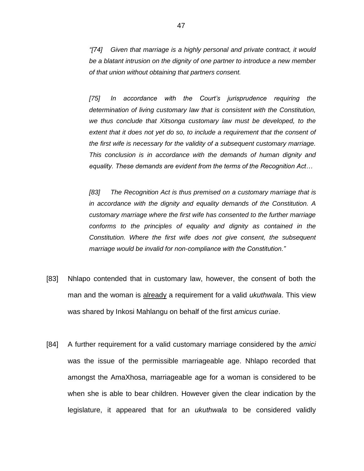*"[74] Given that marriage is a highly personal and private contract, it would be a blatant intrusion on the dignity of one partner to introduce a new member of that union without obtaining that partners consent.*

*[75] In accordance with the Court's jurisprudence requiring the determination of living customary law that is consistent with the Constitution, we thus conclude that Xitsonga customary law must be developed, to the extent that it does not yet do so, to include a requirement that the consent of the first wife is necessary for the validity of a subsequent customary marriage. This conclusion is in accordance with the demands of human dignity and equality. These demands are evident from the terms of the Recognition Act…*

*[83] The Recognition Act is thus premised on a customary marriage that is in accordance with the dignity and equality demands of the Constitution. A customary marriage where the first wife has consented to the further marriage conforms to the principles of equality and dignity as contained in the Constitution. Where the first wife does not give consent, the subsequent marriage would be invalid for non-compliance with the Constitution."*

- [83] Nhlapo contended that in customary law, however, the consent of both the man and the woman is already a requirement for a valid *ukuthwala*. This view was shared by Inkosi Mahlangu on behalf of the first *amicus curiae*.
- [84] A further requirement for a valid customary marriage considered by the *amici* was the issue of the permissible marriageable age. Nhlapo recorded that amongst the AmaXhosa, marriageable age for a woman is considered to be when she is able to bear children. However given the clear indication by the legislature, it appeared that for an *ukuthwala* to be considered validly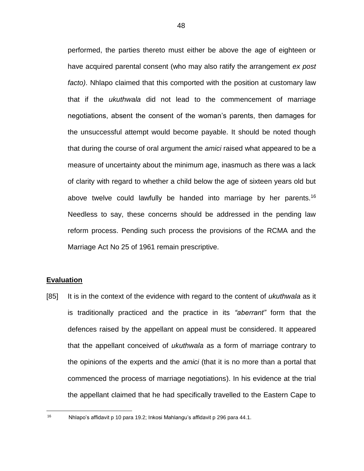performed, the parties thereto must either be above the age of eighteen or have acquired parental consent (who may also ratify the arrangement *ex post facto)*. Nhlapo claimed that this comported with the position at customary law that if the *ukuthwala* did not lead to the commencement of marriage negotiations, absent the consent of the woman's parents, then damages for the unsuccessful attempt would become payable. It should be noted though that during the course of oral argument the *amici* raised what appeared to be a measure of uncertainty about the minimum age, inasmuch as there was a lack of clarity with regard to whether a child below the age of sixteen years old but above twelve could lawfully be handed into marriage by her parents.<sup>16</sup> Needless to say, these concerns should be addressed in the pending law reform process. Pending such process the provisions of the RCMA and the Marriage Act No 25 of 1961 remain prescriptive.

## **Evaluation**

[85] It is in the context of the evidence with regard to the content of *ukuthwala* as it is traditionally practiced and the practice in its *"aberrant"* form that the defences raised by the appellant on appeal must be considered. It appeared that the appellant conceived of *ukuthwala* as a form of marriage contrary to the opinions of the experts and the *amici* (that it is no more than a portal that commenced the process of marriage negotiations). In his evidence at the trial the appellant claimed that he had specifically travelled to the Eastern Cape to

 $16$ 

<sup>16</sup> Nhlapo's affidavit p 10 para 19.2; Inkosi Mahlangu's affidavit p 296 para 44.1.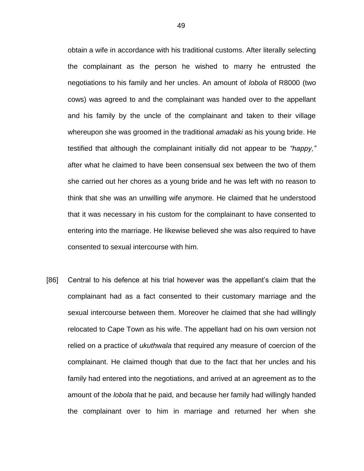obtain a wife in accordance with his traditional customs. After literally selecting the complainant as the person he wished to marry he entrusted the negotiations to his family and her uncles. An amount of *lobola* of R8000 (two cows) was agreed to and the complainant was handed over to the appellant and his family by the uncle of the complainant and taken to their village whereupon she was groomed in the traditional *amadaki* as his young bride. He testified that although the complainant initially did not appear to be *"happy,"*  after what he claimed to have been consensual sex between the two of them she carried out her chores as a young bride and he was left with no reason to think that she was an unwilling wife anymore. He claimed that he understood that it was necessary in his custom for the complainant to have consented to entering into the marriage. He likewise believed she was also required to have consented to sexual intercourse with him.

[86] Central to his defence at his trial however was the appellant's claim that the complainant had as a fact consented to their customary marriage and the sexual intercourse between them. Moreover he claimed that she had willingly relocated to Cape Town as his wife. The appellant had on his own version not relied on a practice of *ukuthwala* that required any measure of coercion of the complainant. He claimed though that due to the fact that her uncles and his family had entered into the negotiations, and arrived at an agreement as to the amount of the *lobola* that he paid, and because her family had willingly handed the complainant over to him in marriage and returned her when she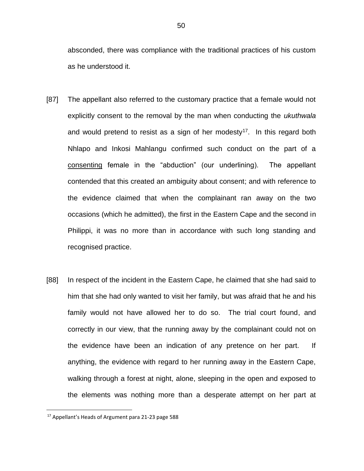absconded, there was compliance with the traditional practices of his custom as he understood it.

- [87] The appellant also referred to the customary practice that a female would not explicitly consent to the removal by the man when conducting the *ukuthwala* and would pretend to resist as a sign of her modesty<sup>17</sup>. In this regard both Nhlapo and Inkosi Mahlangu confirmed such conduct on the part of a consenting female in the "abduction" (our underlining). The appellant contended that this created an ambiguity about consent; and with reference to the evidence claimed that when the complainant ran away on the two occasions (which he admitted), the first in the Eastern Cape and the second in Philippi, it was no more than in accordance with such long standing and recognised practice.
- [88] In respect of the incident in the Eastern Cape, he claimed that she had said to him that she had only wanted to visit her family, but was afraid that he and his family would not have allowed her to do so. The trial court found, and correctly in our view, that the running away by the complainant could not on the evidence have been an indication of any pretence on her part. If anything, the evidence with regard to her running away in the Eastern Cape, walking through a forest at night, alone, sleeping in the open and exposed to the elements was nothing more than a desperate attempt on her part at

<sup>17</sup> Appellant's Heads of Argument para 21-23 page 588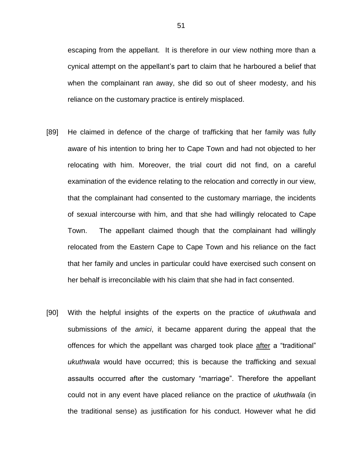escaping from the appellant. It is therefore in our view nothing more than a cynical attempt on the appellant's part to claim that he harboured a belief that when the complainant ran away, she did so out of sheer modesty, and his reliance on the customary practice is entirely misplaced.

- [89] He claimed in defence of the charge of trafficking that her family was fully aware of his intention to bring her to Cape Town and had not objected to her relocating with him. Moreover, the trial court did not find, on a careful examination of the evidence relating to the relocation and correctly in our view, that the complainant had consented to the customary marriage, the incidents of sexual intercourse with him, and that she had willingly relocated to Cape Town. The appellant claimed though that the complainant had willingly relocated from the Eastern Cape to Cape Town and his reliance on the fact that her family and uncles in particular could have exercised such consent on her behalf is irreconcilable with his claim that she had in fact consented.
- [90] With the helpful insights of the experts on the practice of *ukuthwala* and submissions of the *amici*, it became apparent during the appeal that the offences for which the appellant was charged took place after a "traditional" *ukuthwala* would have occurred; this is because the trafficking and sexual assaults occurred after the customary "marriage". Therefore the appellant could not in any event have placed reliance on the practice of *ukuthwala* (in the traditional sense) as justification for his conduct. However what he did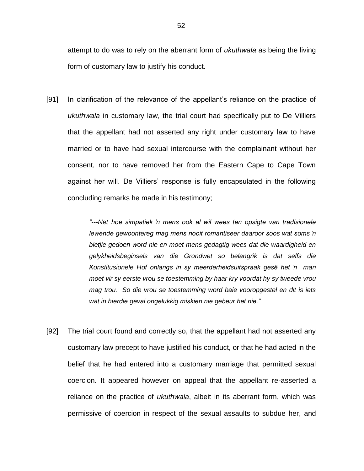attempt to do was to rely on the aberrant form of *ukuthwala* as being the living form of customary law to justify his conduct.

[91] In clarification of the relevance of the appellant's reliance on the practice of *ukuthwala* in customary law, the trial court had specifically put to De Villiers that the appellant had not asserted any right under customary law to have married or to have had sexual intercourse with the complainant without her consent, nor to have removed her from the Eastern Cape to Cape Town against her will. De Villiers' response is fully encapsulated in the following concluding remarks he made in his testimony;

> *"---Net hoe simpatiek 'n mens ook al wil wees ten opsigte van tradisionele lewende gewoontereg mag mens nooit romantiseer daaroor soos wat soms 'n bietjie gedoen word nie en moet mens gedagtig wees dat die waardigheid en gelykheidsbeginsels van die Grondwet so belangrik is dat selfs die Konstitusionele Hof onlangs in sy meerderheidsuitspraak gesê het 'n man moet vir sy eerste vrou se toestemming by haar kry voordat hy sy tweede vrou mag trou. So die vrou se toestemming word baie vooropgestel en dit is iets wat in hierdie geval ongelukkig miskien nie gebeur het nie."*

[92] The trial court found and correctly so, that the appellant had not asserted any customary law precept to have justified his conduct, or that he had acted in the belief that he had entered into a customary marriage that permitted sexual coercion. It appeared however on appeal that the appellant re-asserted a reliance on the practice of *ukuthwala*, albeit in its aberrant form, which was permissive of coercion in respect of the sexual assaults to subdue her, and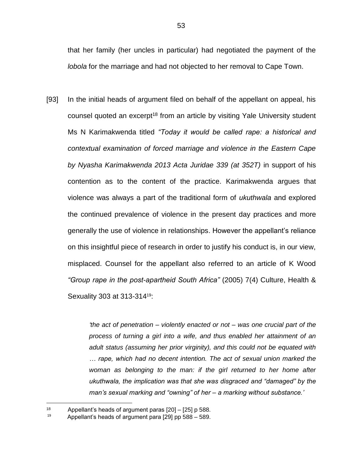that her family (her uncles in particular) had negotiated the payment of the *lobola* for the marriage and had not objected to her removal to Cape Town.

[93] In the initial heads of argument filed on behalf of the appellant on appeal, his counsel quoted an excerpt<sup>18</sup> from an article by visiting Yale University student Ms N Karimakwenda titled *"Today it would be called rape: a historical and contextual examination of forced marriage and violence in the Eastern Cape by Nyasha Karimakwenda 2013 Acta Juridae 339 (at 352T)* in support of his contention as to the content of the practice. Karimakwenda argues that violence was always a part of the traditional form of *ukuthwala* and explored the continued prevalence of violence in the present day practices and more generally the use of violence in relationships. However the appellant's reliance on this insightful piece of research in order to justify his conduct is, in our view, misplaced. Counsel for the appellant also referred to an article of K Wood *"Group rape in the post-apartheid South Africa"* (2005) 7(4) Culture, Health & Sexuality 303 at 313-31419:

> *'the act of penetration – violently enacted or not – was one crucial part of the process of turning a girl into a wife, and thus enabled her attainment of an adult status (assuming her prior virginity), and this could not be equated with … rape, which had no decent intention. The act of sexual union marked the woman as belonging to the man: if the girl returned to her home after ukuthwala, the implication was that she was disgraced and "damaged" by the man's sexual marking and "owning" of her – a marking without substance.'*

<sup>18</sup> Appellant's heads of argument paras [20] – [25] p 588.

<sup>19</sup> Appellant's heads of argument para [29] pp 588 – 589.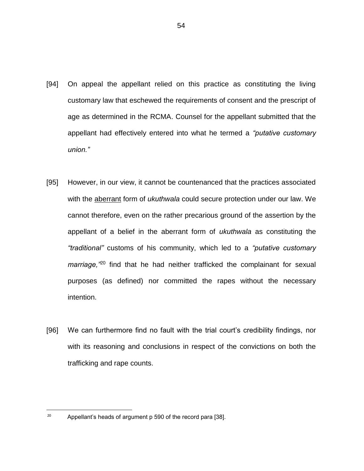- [94] On appeal the appellant relied on this practice as constituting the living customary law that eschewed the requirements of consent and the prescript of age as determined in the RCMA. Counsel for the appellant submitted that the appellant had effectively entered into what he termed a *"putative customary union."*
- [95] However, in our view, it cannot be countenanced that the practices associated with the aberrant form of *ukuthwala* could secure protection under our law. We cannot therefore, even on the rather precarious ground of the assertion by the appellant of a belief in the aberrant form of *ukuthwala* as constituting the *"traditional"* customs of his community, which led to a *"putative customary marriage,"*<sup>20</sup> find that he had neither trafficked the complainant for sexual purposes (as defined) nor committed the rapes without the necessary intention.
- [96] We can furthermore find no fault with the trial court's credibility findings, nor with its reasoning and conclusions in respect of the convictions on both the trafficking and rape counts.

<sup>&</sup>lt;sup>20</sup> Appellant's heads of argument p 590 of the record para [38].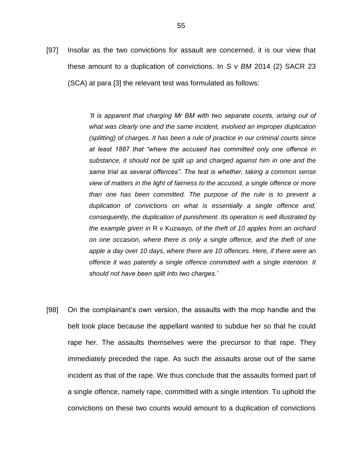[97] Insofar as the two convictions for assault are concerned, it is our view that these amount to a duplication of convictions. In *S v BM* 2014 (2) SACR 23 (SCA) at para [3] the relevant test was formulated as follows:

> *'It is apparent that charging Mr BM with two separate counts, arising out of what was clearly one and the same incident, involved an improper duplication (splitting) of charges. It has been a rule of practice in our criminal courts since at least 1887 that "where the accused has committed only one offence in substance, it should not be split up and charged against him in one and the same trial as several offences". The test is whether, taking a common sense view of matters in the light of fairness to the accused, a single offence or more than one has been committed. The purpose of the rule is to prevent a duplication of convictions on what is essentially a single offence and, consequently, the duplication of punishment. Its operation is well illustrated by the example given in* R v Kuzwayo*, of the theft of 10 apples from an orchard on one occasion, where there is only a single offence, and the theft of one apple a day over 10 days, where there are 10 offences. Here, if there were an offence it was patently a single offence committed with a single intention. It should not have been split into two charges.'*

[98] On the complainant's own version, the assaults with the mop handle and the belt took place because the appellant wanted to subdue her so that he could rape her. The assaults themselves were the precursor to that rape. They immediately preceded the rape. As such the assaults arose out of the same incident as that of the rape. We thus conclude that the assaults formed part of a single offence, namely rape, committed with a single intention. To uphold the convictions on these two counts would amount to a duplication of convictions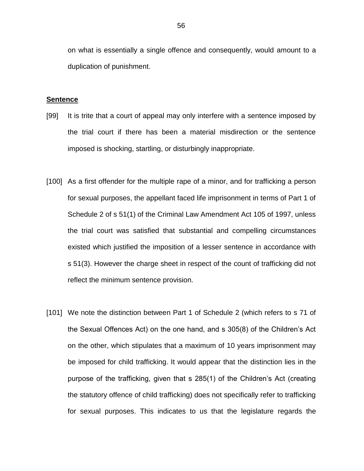on what is essentially a single offence and consequently, would amount to a duplication of punishment.

#### **Sentence**

- [99] It is trite that a court of appeal may only interfere with a sentence imposed by the trial court if there has been a material misdirection or the sentence imposed is shocking, startling, or disturbingly inappropriate.
- [100] As a first offender for the multiple rape of a minor, and for trafficking a person for sexual purposes, the appellant faced life imprisonment in terms of Part 1 of Schedule 2 of s 51(1) of the Criminal Law Amendment Act 105 of 1997, unless the trial court was satisfied that substantial and compelling circumstances existed which justified the imposition of a lesser sentence in accordance with s 51(3). However the charge sheet in respect of the count of trafficking did not reflect the minimum sentence provision.
- [101] We note the distinction between Part 1 of Schedule 2 (which refers to s 71 of the Sexual Offences Act) on the one hand, and s 305(8) of the Children's Act on the other, which stipulates that a maximum of 10 years imprisonment may be imposed for child trafficking. It would appear that the distinction lies in the purpose of the trafficking, given that s 285(1) of the Children's Act (creating the statutory offence of child trafficking) does not specifically refer to trafficking for sexual purposes. This indicates to us that the legislature regards the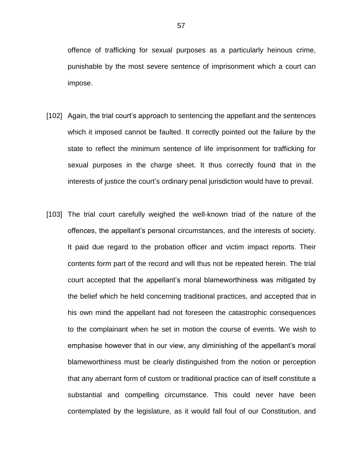offence of trafficking for sexual purposes as a particularly heinous crime, punishable by the most severe sentence of imprisonment which a court can impose.

- [102] Again, the trial court's approach to sentencing the appellant and the sentences which it imposed cannot be faulted. It correctly pointed out the failure by the state to reflect the minimum sentence of life imprisonment for trafficking for sexual purposes in the charge sheet. It thus correctly found that in the interests of justice the court's ordinary penal jurisdiction would have to prevail.
- [103] The trial court carefully weighed the well-known triad of the nature of the offences, the appellant's personal circumstances, and the interests of society. It paid due regard to the probation officer and victim impact reports. Their contents form part of the record and will thus not be repeated herein. The trial court accepted that the appellant's moral blameworthiness was mitigated by the belief which he held concerning traditional practices, and accepted that in his own mind the appellant had not foreseen the catastrophic consequences to the complainant when he set in motion the course of events. We wish to emphasise however that in our view, any diminishing of the appellant's moral blameworthiness must be clearly distinguished from the notion or perception that any aberrant form of custom or traditional practice can of itself constitute a substantial and compelling circumstance. This could never have been contemplated by the legislature, as it would fall foul of our Constitution, and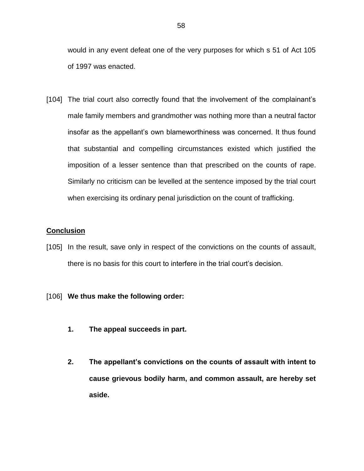would in any event defeat one of the very purposes for which s 51 of Act 105 of 1997 was enacted.

[104] The trial court also correctly found that the involvement of the complainant's male family members and grandmother was nothing more than a neutral factor insofar as the appellant's own blameworthiness was concerned. It thus found that substantial and compelling circumstances existed which justified the imposition of a lesser sentence than that prescribed on the counts of rape. Similarly no criticism can be levelled at the sentence imposed by the trial court when exercising its ordinary penal jurisdiction on the count of trafficking.

## **Conclusion**

[105] In the result, save only in respect of the convictions on the counts of assault, there is no basis for this court to interfere in the trial court's decision.

# [106] **We thus make the following order:**

- **1. The appeal succeeds in part.**
- **2. The appellant's convictions on the counts of assault with intent to cause grievous bodily harm, and common assault, are hereby set aside.**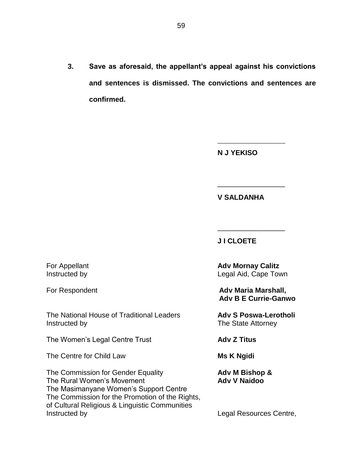**3. Save as aforesaid, the appellant's appeal against his convictions and sentences is dismissed. The convictions and sentences are confirmed.**

**N J YEKISO**

\_\_\_\_\_\_\_\_\_\_\_\_\_\_\_\_\_\_\_

\_\_\_\_\_\_\_\_\_\_\_\_\_\_\_\_\_

**V SALDANHA**

**J I CLOETE** 

The National House of Traditional Leaders **Adv S Poswa-Lerotholi** Instructed by **The State Attorney** 

The Women's Legal Centre Trust **Adv Z Titus**

The Centre for Child Law **Ms K Ngidi** 

The Commission for Gender Equality **Adv M Bishop &** The Rural Women's Movement **Adv V Naidoo Adv V Naidoo** The Masimanyane Women's Support Centre The Commission for the Promotion of the Rights, of Cultural Religious & Linguistic Communities Instructed by **Instructed by Legal Resources Centre**,

**For Appellant**  Adv Mornay Calitz Instructed by **Legal Aid, Cape Town** 

\_\_\_\_\_\_\_\_\_\_\_\_\_\_\_\_\_

For Respondent **Adv Maria Marshall**, **Adv Maria Marshall**, **Adv B E Currie-Ganwo**